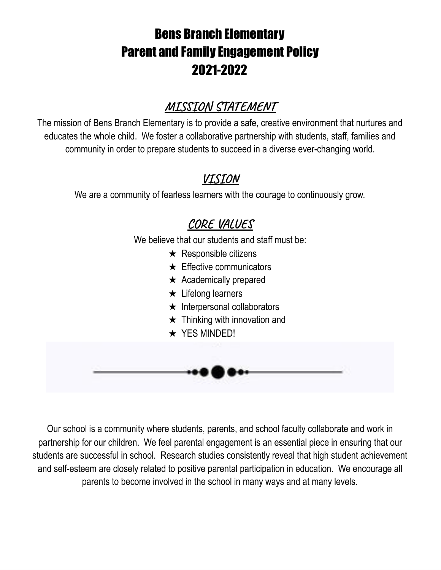# Bens Branch Elementary Parent and Family Engagement Policy 2021-2022

## **MISSION STATEMENT**

The mission of Bens Branch Elementary is to provide a safe, creative environment that nurtures and educates the whole child. We foster a collaborative partnership with students, staff, families and community in order to prepare students to succeed in a diverse ever-changing world.

### **VISION**

We are a community of fearless learners with the courage to continuously grow.

## **CORE VALUES**

We believe that our students and staff must be:

- $\star$  Responsible citizens
- $\star$  Effective communicators
- $\star$  Academically prepared
- $\star$  Lifelong learners
- ★ Interpersonal collaborators
- $\star$  Thinking with innovation and
- ★ YES MINDED!

Our school is a community where students, parents, and school faculty collaborate and work in partnership for our children. We feel parental engagement is an essential piece in ensuring that our students are successful in school. Research studies consistently reveal that high student achievement and self-esteem are closely related to positive parental participation in education. We encourage all parents to become involved in the school in many ways and at many levels.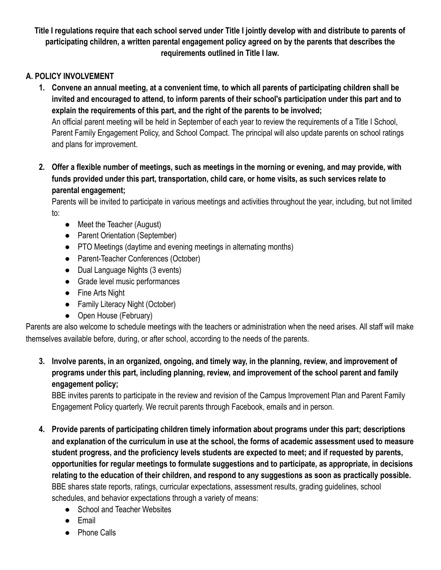Title I regulations require that each school served under Title I jointly develop with and distribute to parents of **participating children, a written parental engagement policy agreed on by the parents that describes the requirements outlined in Title I law.**

### **A. POLICY INVOLVEMENT**

- 1. Convene an annual meeting, at a convenient time, to which all parents of participating children shall be invited and encouraged to attend, to inform parents of their school's participation under this part and to **explain the requirements of this part, and the right of the parents to be involved;** An official parent meeting will be held in September of each year to review the requirements of a Title I School, Parent Family Engagement Policy, and School Compact. The principal will also update parents on school ratings and plans for improvement.
- 2. Offer a flexible number of meetings, such as meetings in the morning or evening, and may provide, with **funds provided under this part, transportation, child care, or home visits, as such services relate to parental engagement;**

Parents will be invited to participate in various meetings and activities throughout the year, including, but not limited to:

- Meet the Teacher (August)
- Parent Orientation (September)
- PTO Meetings (daytime and evening meetings in alternating months)
- Parent-Teacher Conferences (October)
- Dual Language Nights (3 events)
- Grade level music performances
- Fine Arts Night
- Family Literacy Night (October)
- Open House (February)

Parents are also welcome to schedule meetings with the teachers or administration when the need arises. All staff will make themselves available before, during, or after school, according to the needs of the parents.

**3. Involve parents, in an organized, ongoing, and timely way, in the planning, review, and improvement of programs under this part, including planning, review, and improvement of the school parent and family engagement policy;**

BBE invites parents to participate in the review and revision of the Campus Improvement Plan and Parent Family Engagement Policy quarterly. We recruit parents through Facebook, emails and in person.

- **4. Provide parents of participating children timely information about programs under this part; descriptions** and explanation of the curriculum in use at the school, the forms of academic assessment used to measure **student progress, and the proficiency levels students are expected to meet; and if requested by parents, opportunities for regular meetings to formulate suggestions and to participate, as appropriate, in decisions** relating to the education of their children, and respond to any suggestions as soon as practically possible. BBE shares state reports, ratings, curricular expectations, assessment results, grading guidelines, school schedules, and behavior expectations through a variety of means:
	- School and Teacher Websites
	- Email
	- Phone Calls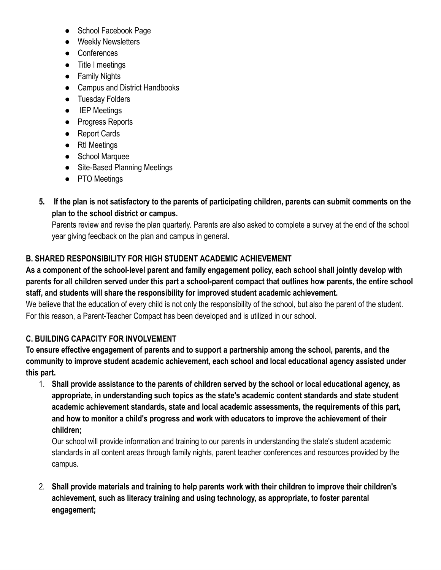- School Facebook Page
- Weekly Newsletters
- Conferences
- Title I meetings
- Family Nights
- Campus and District Handbooks
- Tuesday Folders
- IEP Meetings
- Progress Reports
- Report Cards
- RtI Meetings
- School Marquee
- Site-Based Planning Meetings
- PTO Meetings
- 5. If the plan is not satisfactory to the parents of participating children, parents can submit comments on the **plan to the school district or campus.**

Parents review and revise the plan quarterly. Parents are also asked to complete a survey at the end of the school year giving feedback on the plan and campus in general.

### **B. SHARED RESPONSIBILITY FOR HIGH STUDENT ACADEMIC ACHIEVEMENT**

As a component of the school-level parent and family engagement policy, each school shall jointly develop with parents for all children served under this part a school-parent compact that outlines how parents, the entire school **staff, and students will share the responsibility for improved student academic achievement.**

We believe that the education of every child is not only the responsibility of the school, but also the parent of the student. For this reason, a Parent-Teacher Compact has been developed and is utilized in our school.

### **C. BUILDING CAPACITY FOR INVOLVEMENT**

**To ensure effective engagement of parents and to support a partnership among the school, parents, and the community to improve student academic achievement, each school and local educational agency assisted under this part.**

1. Shall provide assistance to the parents of children served by the school or local educational agency, as **appropriate, in understanding such topics as the state's academic content standards and state student academic achievement standards, state and local academic assessments, the requirements of this part, and how to monitor a child's progress and work with educators to improve the achievement of their children;**

Our school will provide information and training to our parents in understanding the state's student academic standards in all content areas through family nights, parent teacher conferences and resources provided by the campus.

2. **Shall provide materials and training to help parents work with their children to improve their children's achievement, such as literacy training and using technology, as appropriate, to foster parental engagement;**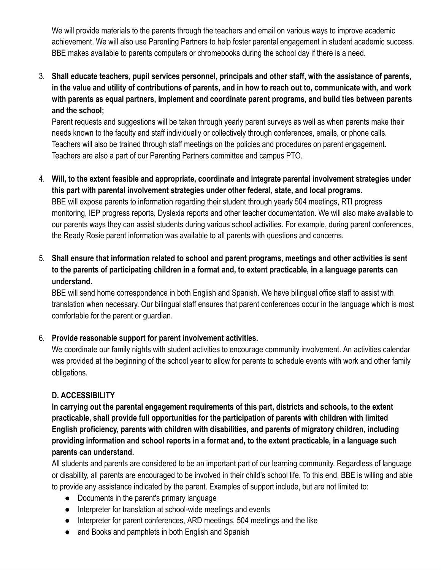We will provide materials to the parents through the teachers and email on various ways to improve academic achievement. We will also use Parenting Partners to help foster parental engagement in student academic success. BBE makes available to parents computers or chromebooks during the school day if there is a need.

3. **Shall educate teachers, pupil services personnel, principals and other staff, with the assistance of parents,** in the value and utility of contributions of parents, and in how to reach out to, communicate with, and work **with parents as equal partners, implement and coordinate parent programs, and build ties between parents and the school;**

Parent requests and suggestions will be taken through yearly parent surveys as well as when parents make their needs known to the faculty and staff individually or collectively through conferences, emails, or phone calls. Teachers will also be trained through staff meetings on the policies and procedures on parent engagement. Teachers are also a part of our Parenting Partners committee and campus PTO.

- 4. **Will, to the extent feasible and appropriate, coordinate and integrate parental involvement strategies under this part with parental involvement strategies under other federal, state, and local programs.** BBE will expose parents to information regarding their student through yearly 504 meetings, RTI progress monitoring, IEP progress reports, Dyslexia reports and other teacher documentation. We will also make available to our parents ways they can assist students during various school activities. For example, during parent conferences, the Ready Rosie parent information was available to all parents with questions and concerns.
- 5. **Shall ensure that information related to school and parent programs, meetings and other activities is sent** to the parents of participating children in a format and, to extent practicable, in a language parents can **understand.**

BBE will send home correspondence in both English and Spanish. We have bilingual office staff to assist with translation when necessary. Our bilingual staff ensures that parent conferences occur in the language which is most comfortable for the parent or guardian.

#### 6. **Provide reasonable support for parent involvement activities.**

We coordinate our family nights with student activities to encourage community involvement. An activities calendar was provided at the beginning of the school year to allow for parents to schedule events with work and other family obligations.

### **D. ACCESSIBILITY**

**In carrying out the parental engagement requirements of this part, districts and schools, to the extent practicable, shall provide full opportunities for the participation of parents with children with limited English proficiency, parents with children with disabilities, and parents of migratory children, including providing information and school reports in a format and, to the extent practicable, in a language such parents can understand.**

All students and parents are considered to be an important part of our learning community. Regardless of language or disability, all parents are encouraged to be involved in their child's school life. To this end, BBE is willing and able to provide any assistance indicated by the parent. Examples of support include, but are not limited to:

- Documents in the parent's primary language
- Interpreter for translation at school-wide meetings and events
- Interpreter for parent conferences, ARD meetings, 504 meetings and the like
- and Books and pamphlets in both English and Spanish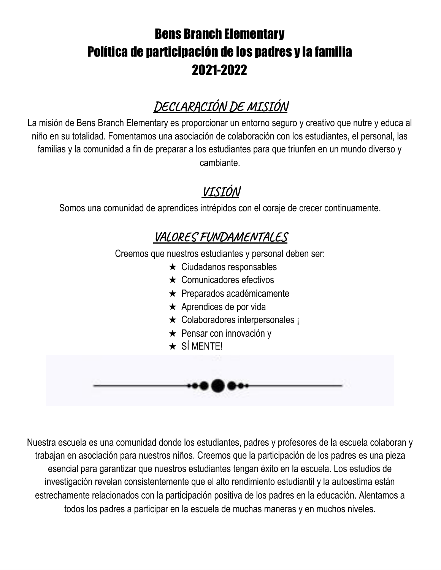# Bens Branch Elementary Política de participación de los padres y la familia 2021-2022

## **DECLARACIÓN DE MISIÓN**

La misión de Bens Branch Elementary es proporcionar un entorno seguro y creativo que nutre y educa al niño en su totalidad. Fomentamos una asociación de colaboración con los estudiantes, el personal, las familias y la comunidad a fin de preparar a los estudiantes para que triunfen en un mundo diverso y cambiante.

## **VISIÓN**

Somos una comunidad de aprendices intrépidos con el coraje de crecer continuamente.

### **VALORES FUNDAMENTALES**

Creemos que nuestros estudiantes y personal deben ser:

- $\star$  Ciudadanos responsables
- ★ Comunicadores efectivos
- ★ Preparados académicamente
- $\star$  Aprendices de por vida
- ★ Colaboradores interpersonales ¡
- ★ Pensar con innovación y
- $\star$  SÍ MENTE!



Nuestra escuela es una comunidad donde los estudiantes, padres y profesores de la escuela colaboran y trabajan en asociación para nuestros niños. Creemos que la participación de los padres es una pieza esencial para garantizar que nuestros estudiantes tengan éxito en la escuela. Los estudios de investigación revelan consistentemente que el alto rendimiento estudiantil y la autoestima están estrechamente relacionados con la participación positiva de los padres en la educación. Alentamos a todos los padres a participar en la escuela de muchas maneras y en muchos niveles.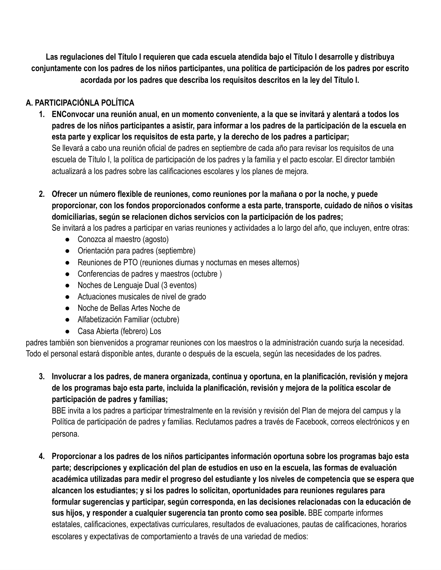Las regulaciones del Título I requieren que cada escuela atendida bajo el Título I desarrolle y distribuya conjuntamente con los padres de los niños participantes, una política de participación de los padres por escrito **acordada por los padres que describa los requisitos descritos en la ley del Título I.**

### **A. PARTICIPACIÓNLA POLÍTICA**

- 1. ENConvocar una reunión anual, en un momento conveniente, a la que se invitará y alentará a todos los padres de los niños participantes a asistir, para informar a los padres de la participación de la escuela en **esta parte y explicar los requisitos de esta parte, y la derecho de los padres a participar;** Se llevará a cabo una reunión oficial de padres en septiembre de cada año para revisar los requisitos de una escuela de Título I, la política de participación de los padres y la familia y el pacto escolar. El director también actualizará a los padres sobre las calificaciones escolares y los planes de mejora.
- **2. Ofrecer un número flexible de reuniones, como reuniones por la mañana o por la noche, y puede proporcionar, con los fondos proporcionados conforme a esta parte, transporte, cuidado de niños o visitas domiciliarias, según se relacionen dichos servicios con la participación de los padres;**

Se invitará a los padres a participar en varias reuniones y actividades a lo largo del año, que incluyen, entre otras:

- Conozca al maestro (agosto)
- Orientación para padres (septiembre)
- Reuniones de PTO (reuniones diurnas y nocturnas en meses alternos)
- Conferencias de padres y maestros (octubre)
- Noches de Lenguaje Dual (3 eventos)
- Actuaciones musicales de nivel de grado
- Noche de Bellas Artes Noche de
- Alfabetización Familiar (octubre)
- Casa Abierta (febrero) Los

padres también son bienvenidos a programar reuniones con los maestros o la administración cuando surja la necesidad. Todo el personal estará disponible antes, durante o después de la escuela, según las necesidades de los padres.

3. Involucrar a los padres, de manera organizada, continua y oportuna, en la planificación, revisión y mejora **de los programas bajo esta parte, incluida la planificación, revisión y mejora de la política escolar de participación de padres y familias;**

BBE invita a los padres a participar trimestralmente en la revisión y revisión del Plan de mejora del campus y la Política de participación de padres y familias. Reclutamos padres a través de Facebook, correos electrónicos y en persona.

**4. Proporcionar a los padres de los niños participantes información oportuna sobre los programas bajo esta parte; descripciones y explicación del plan de estudios en uso en la escuela, las formas de evaluación académica utilizadas para medir el progreso del estudiante y los niveles de competencia que se espera que alcancen los estudiantes; y si los padres lo solicitan, oportunidades para reuniones regulares para formular sugerencias y participar, según corresponda, en las decisiones relacionadas con la educación de sus hijos, y responder a cualquier sugerencia tan pronto como sea posible.** BBE comparte informes estatales, calificaciones, expectativas curriculares, resultados de evaluaciones, pautas de calificaciones, horarios escolares y expectativas de comportamiento a través de una variedad de medios: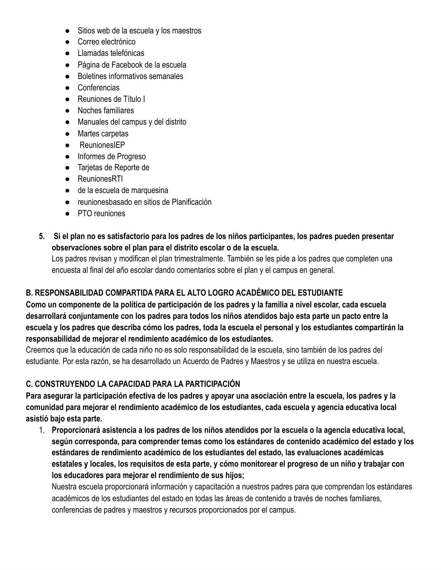- Sitios web de la escuela y los maestros
- Correo electrónico
- Llamadas telefónicas
- Página de Facebook de la escuela
- Boletines informativos semanales
- Conferencias
- Reuniones de Título I
- Noches familiares
- Manuales del campus y del distrito
- Martes carpetas
- ReunionesIEP
- Informes de Progreso
- Tarjetas de Reporte de
- ReunionesRTI
- de la escuela de marquesina
- reunionesbasado en sitios de Planificación
- PTO reuniones
- 5. Si el plan no es satisfactorio para los padres de los niños participantes, los padres pueden presentar **observaciones sobre el plan para el distrito escolar o de la escuela.**

Los padres revisan y modifican el plan trimestralmente. También se les pide a los padres que completen una encuesta al final del año escolar dando comentarios sobre el plan y el campus en general.

### **B. RESPONSABILIDAD COMPARTIDA PARA EL ALTO LOGRO ACADÉMICO DEL ESTUDIANTE**

Como un componente de la política de participación de los padres y la familia a nivel escolar, cada escuela desarrollará conjuntamente con los padres para todos los niños atendidos bajo esta parte un pacto entre la escuela y los padres que describa cómo los padres, toda la escuela el personal y los estudiantes compartirán la **responsabilidad de mejorar el rendimiento académico de los estudiantes.**

Creemos que la educación de cada niño no es solo responsabilidad de la escuela, sino también de los padres del estudiante. Por esta razón, se ha desarrollado un Acuerdo de Padres y Maestros y se utiliza en nuestra escuela.

### **C. CONSTRUYENDO LA CAPACIDAD PARA LA PARTICIPACIÓN**

Para asegurar la participación efectiva de los padres y apoyar una asociación entre la escuela, los padres y la **comunidad para mejorar el rendimiento académico de los estudiantes, cada escuela y agencia educativa local asistió bajo esta parte.**

1. Proporcionará asistencia a los padres de los niños atendidos por la escuela o la agencia educativa local, **según corresponda, para comprender temas como los estándares de contenido académico del estado y los estándares de rendimiento académico de los estudiantes del estado, las evaluaciones académicas** estatales y locales, los requisitos de esta parte, y cómo monitorear el progreso de un niño y trabajar con **los educadores para mejorar el rendimiento de sus hijos;**

Nuestra escuela proporcionará información y capacitación a nuestros padres para que comprendan los estándares académicos de los estudiantes del estado en todas las áreas de contenido a través de noches familiares, conferencias de padres y maestros y recursos proporcionados por el campus.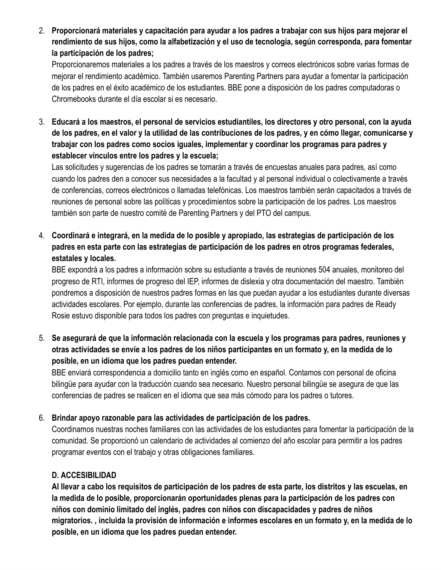2. Proporcionará materiales y capacitación para ayudar a los padres a trabajar con sus hijos para mejorar el **rendimiento de sus hijos, como la alfabetización y el uso de tecnología, según corresponda, para fomentar la participación de los padres;**

Proporcionaremos materiales a los padres a través de los maestros y correos electrónicos sobre varias formas de mejorar el rendimiento académico. También usaremos Parenting Partners para ayudar a fomentar la participación de los padres en el éxito académico de los estudiantes. BBE pone a disposición de los padres computadoras o Chromebooks durante el día escolar si es necesario.

3. Educará a los maestros, el personal de servicios estudiantiles, los directores y otro personal, con la ayuda de los padres, en el valor y la utilidad de las contribuciones de los padres, y en cómo llegar, comunicarse y **trabajar con los padres como socios iguales, implementar y coordinar los programas para padres y establecer vínculos entre los padres y la escuela;**

Las solicitudes y sugerencias de los padres se tomarán a través de encuestas anuales para padres, así como cuando los padres den a conocer sus necesidades a la facultad y al personal individual o colectivamente a través de conferencias, correos electrónicos o llamadas telefónicas. Los maestros también serán capacitados a través de reuniones de personal sobre las políticas y procedimientos sobre la participación de los padres. Los maestros también son parte de nuestro comité de Parenting Partners y del PTO del campus.

4. Coordinará e integrará, en la medida de lo posible y apropiado, las estrategias de participación de los **padres en esta parte con las estrategias de participación de los padres en otros programas federales, estatales y locales.**

BBE expondrá a los padres a información sobre su estudiante a través de reuniones 504 anuales, monitoreo del progreso de RTI, informes de progreso del IEP, informes de dislexia y otra documentación del maestro. También pondremos a disposición de nuestros padres formas en las que puedan ayudar a los estudiantes durante diversas actividades escolares. Por ejemplo, durante las conferencias de padres, la información para padres de Ready Rosie estuvo disponible para todos los padres con preguntas e inquietudes.

5. **Se asegurará de que la información relacionada con la escuela y los programas para padres, reuniones y** otras actividades se envíe a los padres de los niños participantes en un formato y, en la medida de lo **posible, en un idioma que los padres puedan entender.**

BBE enviará correspondencia a domicilio tanto en inglés como en español. Contamos con personal de oficina bilingüe para ayudar con la traducción cuando sea necesario. Nuestro personal bilingüe se asegura de que las conferencias de padres se realicen en el idioma que sea más cómodo para los padres o tutores.

#### 6. **Brindar apoyo razonable para las actividades de participación de los padres.**

Coordinamos nuestras noches familiares con las actividades de los estudiantes para fomentar la participación de la comunidad. Se proporcionó un calendario de actividades al comienzo del año escolar para permitir a los padres programar eventos con el trabajo y otras obligaciones familiares.

### **D. ACCESIBILIDAD**

Al llevar a cabo los requisitos de participación de los padres de esta parte, los distritos y las escuelas, en **la medida de lo posible, proporcionarán oportunidades plenas para la participación de los padres con niños con dominio limitado del inglés, padres con niños con discapacidades y padres de niños** migratorios., incluida la provisión de información e informes escolares en un formato y, en la medida de lo **posible, en un idioma que los padres puedan entender.**